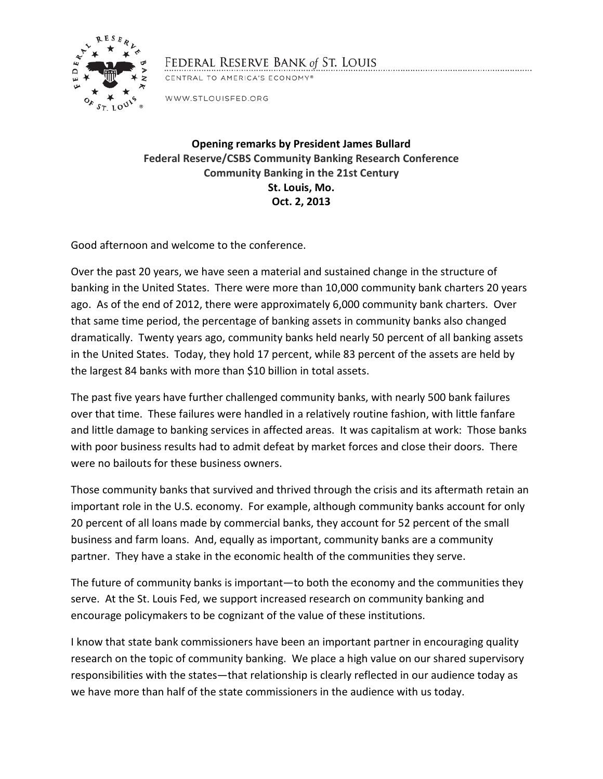

## FEDERAL RESERVE BANK of ST. LOUIS

CENTRAL TO AMERICA'S ECONOMY®

WWW.STLOUISFED.ORG

**Opening remarks by President James Bullard Federal Reserve/CSBS Community Banking Research Conference Community Banking in the 21st Century St. Louis, Mo. Oct. 2, 2013**

Good afternoon and welcome to the conference.

Over the past 20 years, we have seen a material and sustained change in the structure of banking in the United States. There were more than 10,000 community bank charters 20 years ago. As of the end of 2012, there were approximately 6,000 community bank charters. Over that same time period, the percentage of banking assets in community banks also changed dramatically. Twenty years ago, community banks held nearly 50 percent of all banking assets in the United States. Today, they hold 17 percent, while 83 percent of the assets are held by the largest 84 banks with more than \$10 billion in total assets.

The past five years have further challenged community banks, with nearly 500 bank failures over that time. These failures were handled in a relatively routine fashion, with little fanfare and little damage to banking services in affected areas. It was capitalism at work: Those banks with poor business results had to admit defeat by market forces and close their doors. There were no bailouts for these business owners.

Those community banks that survived and thrived through the crisis and its aftermath retain an important role in the U.S. economy. For example, although community banks account for only 20 percent of all loans made by commercial banks, they account for 52 percent of the small business and farm loans. And, equally as important, community banks are a community partner. They have a stake in the economic health of the communities they serve.

The future of community banks is important—to both the economy and the communities they serve. At the St. Louis Fed, we support increased research on community banking and encourage policymakers to be cognizant of the value of these institutions.

I know that state bank commissioners have been an important partner in encouraging quality research on the topic of community banking. We place a high value on our shared supervisory responsibilities with the states—that relationship is clearly reflected in our audience today as we have more than half of the state commissioners in the audience with us today.